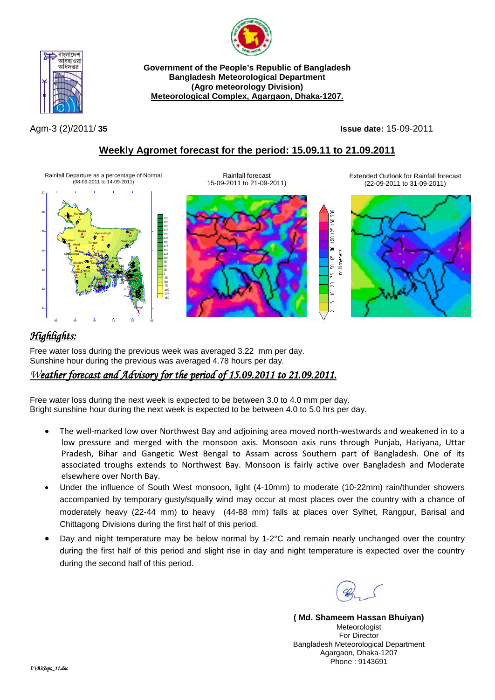



**Government of the People's Republic of Bangladesh Bangladesh Meteorological Department (Agro meteorology Division) Meteorological Complex, Agargaon, Dhaka-1207.**

Agm-3 (2)/2011/ **35 Issue date:** 15-09-2011

 $\mathbb{R}^2$ S  $\frac{25}{25}$ g  $\Xi$ 

 $\mathfrak{p}$  $\overline{a}$  $\supseteq$  $\mathfrak{m}$ 

### **Weekly Agromet forecast for the period: 15.09.11 to 21.09.2011**

Rainfall Departure as a percentage of Normal (08-09-2011 to 14-09-2011)



Rainfall forecast 15-09-2011 to 21-09-2011) Extended Outlook for Rainfall forecast (22-09-2011 to 31-09-2011)



# *Highlights:*

Free water loss during the previous week was averaged 3.22 mm per day. Sunshine hour during the previous was averaged 4.78 hours per day.

### *Weather forecast and Advisory for the period of 15.09.2011 to 21.09.2011.*

Free water loss during the next week is expected to be between 3.0 to 4.0 mm per day. Bright sunshine hour during the next week is expected to be between 4.0 to 5.0 hrs per day.

- The well-marked low over Northwest Bay and adjoining area moved north-westwards and weakened in to a low pressure and merged with the monsoon axis. Monsoon axis runs through Punjab, Hariyana, Uttar Pradesh, Bihar and Gangetic West Bengal to Assam across Southern part of Bangladesh. One of its associated troughs extends to Northwest Bay. Monsoon is fairly active over Bangladesh and Moderate elsewhere over North Bay.
- Under the influence of South West monsoon, light (4-10mm) to moderate (10-22mm) rain/thunder showers accompanied by temporary gusty/squally wind may occur at most places over the country with a chance of moderately heavy (22-44 mm) to heavy (44-88 mm) falls at places over Sylhet, Rangpur, Barisal and Chittagong Divisions during the first half of this period.
- Day and night temperature may be below normal by 1-2°C and remain nearly unchanged over the country during the first half of this period and slight rise in day and night temperature is expected over the country during the second half of this period.

**( Md. Shameem Hassan Bhuiyan)** Meteorologist For Director Bangladesh Meteorological Department Agargaon, Dhaka-1207 Phone : 9143691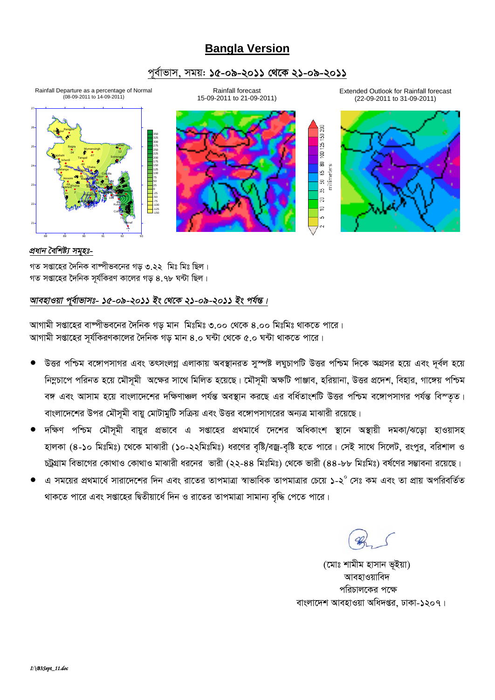## **Bangla Version**

### *c~e©vfvm, mgq: 15-09-2011 †\_‡K 21-09-2011*



#### *প্ৰধান বৈশিষ্ট্য সমৃহঃ-*

গত সপ্তাহের দৈনিক বাষ্পীভবনের গড় ৩.২২ মিঃ মিঃ ছিল।  $\frac{1}{2}$ সপ্তাহের দৈনিক সর্যকিরণ কালের গড় ৪.৭৮ ঘন্টা ছিল।

### *আবহাওয়া প্*ৰ্বাভাসঃ- ১৫-০৯-২০১১ ইং থেকে ২১-০৯-২০১১ ইং পৰ্যন্ত।

*আ*গামী সপ্তাহের বাম্পীভবনের দৈনিক গড় মান মিঃমিঃ ৩.০০ থেকে ৪.০০ মিঃমিঃ থাকতে পারে। স্মাগামী সপ্তাহের সূর্যকিরণকালের দৈনিক গড় মান ৪.০ ঘন্টা থেকে ৫.০ ঘন্টা থাকতে পারে।

- *DËi cwðg e‡½vcmvMi Ges ZrmsjMœ GjvKvq Ae¯'vbiZ my¯úó jNyPvcwU DËi cwðg w`‡K AMÖmi n‡q Ges `~e©j n‡q*  নিম্নচাপে পরিনত হয়ে মৌসূমী অক্ষের সাথে মিলিত হয়েছে। মৌসূমী অক্ষটি পাঞ্জাব, হরিয়ানা, উত্তর প্রদেশ, বিহার, গাঙ্গেয় পশ্চিম বঙ্গ এবং আসাম হয়ে বাংলাদেশের দক্ষিণাঞ্চল পর্যন্ত অবস্থান করছে এর বর্ধিতাংশটি উত্তর পশ্চিম বঙ্গোপসাগর পর্যন্ত বিস্তৃত। বাংলাদেশের উপর মৌসমী বায়ু মোটামুটি সক্রিয় এবং উত্তর বঙ্গোপসাগরের অন্যত্র মাঝারী রয়েছে।
- $\overline{r}$ ক্ষণ পশ্চিম মৌসূমী বায়ুর প্রভাবে এ সপ্তাহের প্রথমার্ধে দেশের অধিকাংশ স্থানে অস্থায়ী দমকা/ঝড়ো হাওয়াসহ হালকা (৪-১০ মিঃমিঃ) থেকে মাঝারী (১০-২২মিঃমিঃ) ধরণের বৃষ্টি/বজ্র-বৃষ্টি হতে পারে। সেই সাথে সিলেট, রংপুর, বরিশাল ও  $p$ দুগ্রাম বিভাগের কোথাও কোথাও মাঝারী ধরনের ভারী (২২-৪৪ মিঃমিঃ) থেকে ভারী (৪৪-৮৮ মিঃমিঃ) বর্ষণের সম্ভাবনা রয়েছে।
- *G mg‡qi cÖ\_gv‡a©* mviv‡`‡ki w`b Ges iv‡Zi ZvcgvÎv *¯^vfvweK ZvcgvÎvi †P‡q 1-2<sup>0</sup> †mt Kg Ges Zv cÖvq AcwiewZ©Z*  থাকতে পারে এবং সপ্তাহের দ্বিতীয়ার্ধে দিন ও রাতের তাপমাত্রা সামান্য বৃদ্ধি পেতে পারে।

(মোঃ শামীম হাসান ভূইয়া) **আবহাওয়াবিদ** পরিচালকের পক্ষে *বাংলাদেশ আবহাওয়া অধিদ*প্তর, ঢাকা-১২০৭।